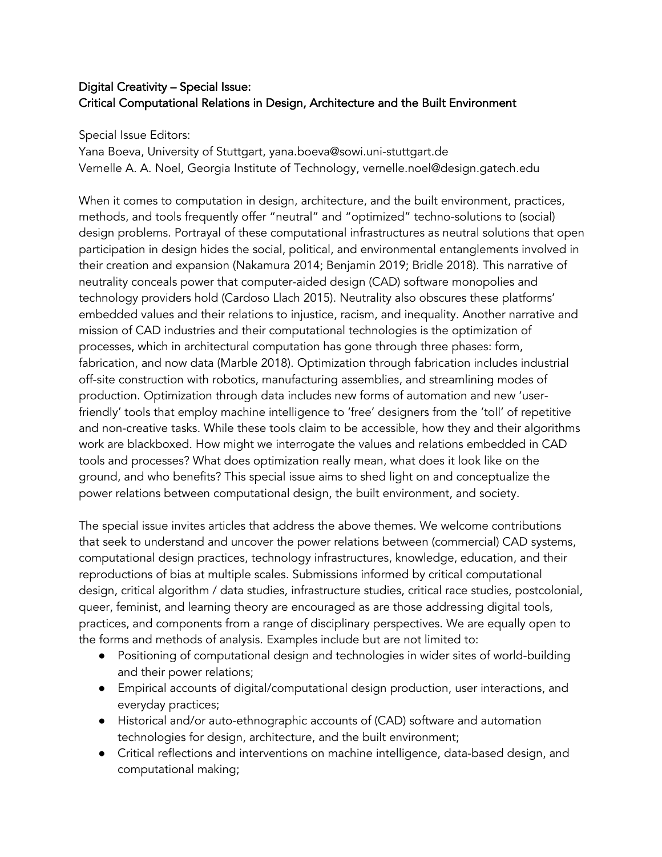# Digital Creativity – Special Issue: Critical Computational Relations in Design, Architecture and the Built Environment

Special Issue Editors:

Yana Boeva, University of Stuttgart, yana.boeva@sowi.uni-stuttgart.de Vernelle A. A. Noel, Georgia Institute of Technology, vernelle.noel@design.gatech.edu

When it comes to computation in design, architecture, and the built environment, practices, methods, and tools frequently offer "neutral" and "optimized" techno-solutions to (social) design problems. Portrayal of these computational infrastructures as neutral solutions that open participation in design hides the social, political, and environmental entanglements involved in their creation and expansion (Nakamura 2014; Benjamin 2019; Bridle 2018). This narrative of neutrality conceals power that computer-aided design (CAD) software monopolies and technology providers hold (Cardoso Llach 2015). Neutrality also obscures these platforms' embedded values and their relations to injustice, racism, and inequality. Another narrative and mission of CAD industries and their computational technologies is the optimization of processes, which in architectural computation has gone through three phases: form, fabrication, and now data (Marble 2018). Optimization through fabrication includes industrial off-site construction with robotics, manufacturing assemblies, and streamlining modes of production. Optimization through data includes new forms of automation and new 'userfriendly' tools that employ machine intelligence to 'free' designers from the 'toll' of repetitive and non-creative tasks. While these tools claim to be accessible, how they and their algorithms work are blackboxed. How might we interrogate the values and relations embedded in CAD tools and processes? What does optimization really mean, what does it look like on the ground, and who benefits? This special issue aims to shed light on and conceptualize the power relations between computational design, the built environment, and society.

The special issue invites articles that address the above themes. We welcome contributions that seek to understand and uncover the power relations between (commercial) CAD systems, computational design practices, technology infrastructures, knowledge, education, and their reproductions of bias at multiple scales. Submissions informed by critical computational design, critical algorithm / data studies, infrastructure studies, critical race studies, postcolonial, queer, feminist, and learning theory are encouraged as are those addressing digital tools, practices, and components from a range of disciplinary perspectives. We are equally open to the forms and methods of analysis. Examples include but are not limited to:

- Positioning of computational design and technologies in wider sites of world-building and their power relations;
- Empirical accounts of digital/computational design production, user interactions, and everyday practices;
- Historical and/or auto-ethnographic accounts of (CAD) software and automation technologies for design, architecture, and the built environment;
- Critical reflections and interventions on machine intelligence, data-based design, and computational making;